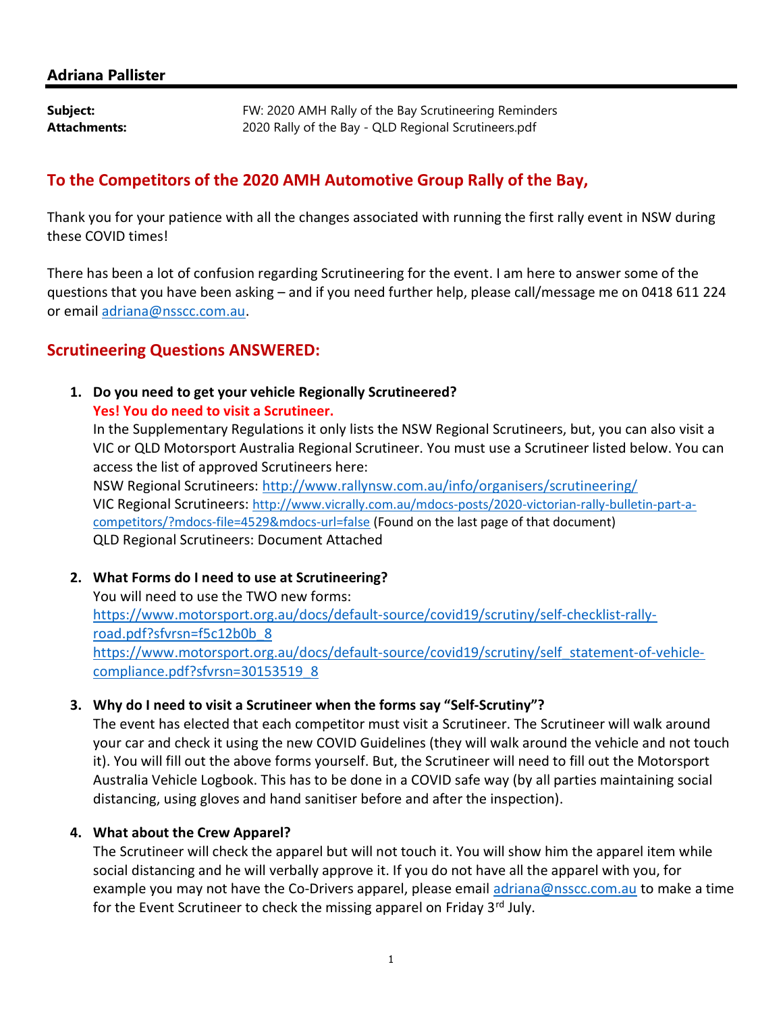#### Adriana Pallister

**Subject:** FW: 2020 AMH Rally of the Bay Scrutineering Reminders Attachments: 2020 Rally of the Bay - QLD Regional Scrutineers.pdf

## To the Competitors of the 2020 AMH Automotive Group Rally of the Bay,

Thank you for your patience with all the changes associated with running the first rally event in NSW during these COVID times!

There has been a lot of confusion regarding Scrutineering for the event. I am here to answer some of the questions that you have been asking – and if you need further help, please call/message me on 0418 611 224 or email adriana@nsscc.com.au.

## Scrutineering Questions ANSWERED:

## 1. Do you need to get your vehicle Regionally Scrutineered?

#### Yes! You do need to visit a Scrutineer.

In the Supplementary Regulations it only lists the NSW Regional Scrutineers, but, you can also visit a VIC or QLD Motorsport Australia Regional Scrutineer. You must use a Scrutineer listed below. You can access the list of approved Scrutineers here:

NSW Regional Scrutineers: http://www.rallynsw.com.au/info/organisers/scrutineering/ VIC Regional Scrutineers: http://www.vicrally.com.au/mdocs-posts/2020-victorian-rally-bulletin-part-acompetitors/?mdocs-file=4529&mdocs-url=false (Found on the last page of that document) QLD Regional Scrutineers: Document Attached

#### 2. What Forms do I need to use at Scrutineering?

You will need to use the TWO new forms: https://www.motorsport.org.au/docs/default-source/covid19/scrutiny/self-checklist-rallyroad.pdf?sfvrsn=f5c12b0b\_8 https://www.motorsport.org.au/docs/default-source/covid19/scrutiny/self\_statement-of-vehiclecompliance.pdf?sfvrsn=30153519\_8

#### 3. Why do I need to visit a Scrutineer when the forms say "Self-Scrutiny"?

The event has elected that each competitor must visit a Scrutineer. The Scrutineer will walk around your car and check it using the new COVID Guidelines (they will walk around the vehicle and not touch it). You will fill out the above forms yourself. But, the Scrutineer will need to fill out the Motorsport Australia Vehicle Logbook. This has to be done in a COVID safe way (by all parties maintaining social distancing, using gloves and hand sanitiser before and after the inspection).

#### 4. What about the Crew Apparel?

The Scrutineer will check the apparel but will not touch it. You will show him the apparel item while social distancing and he will verbally approve it. If you do not have all the apparel with you, for example you may not have the Co-Drivers apparel, please email adriana@nsscc.com.au to make a time for the Event Scrutineer to check the missing apparel on Friday  $3<sup>rd</sup>$  July.